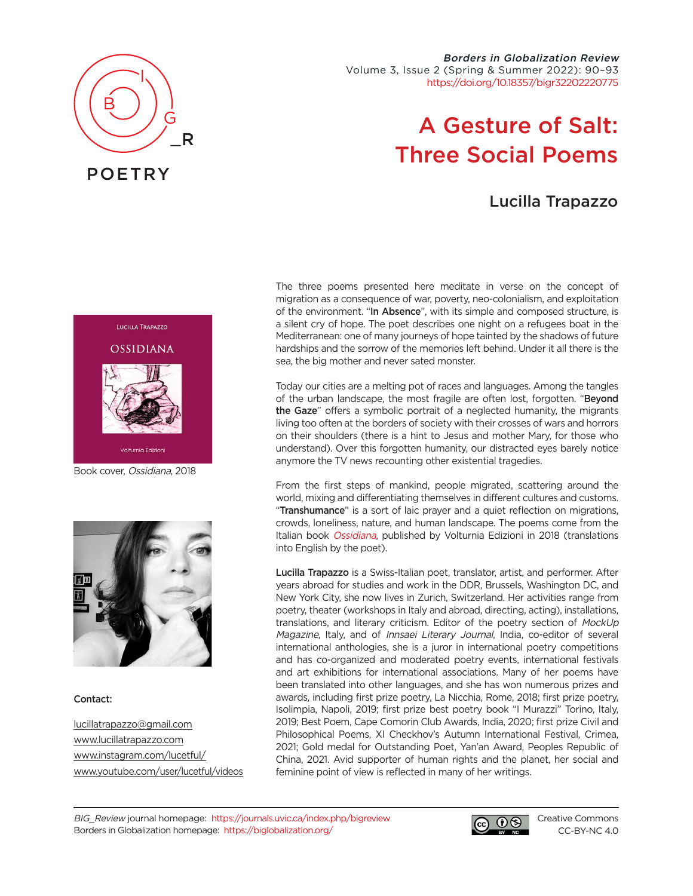

Borders in Globalization Review Volume 3, Issue 2 (Spring & Summer 2022): 90–93 [https://doi.org/10.18357/bigr32202220775](https://doi.org/10.18357/bigr32202220775 )

# A Gesture of Salt: Three Social Poems

# Lucilla Trapazzo



Book cover, Ossidiana, 2018



#### Contact:

[lucillatrapazzo@gmail.com](mailto:lucillatrapazzo%40gmail.com?subject=) [www.lucillatrapazzo.com](http://www.lucillatrapazzo.com ) [www.instagram.com/lucetful/](https://www.instagram.com/lucetful/) [www.youtube.com/user/lucetful/videos](https://www.youtube.com/user/lucetful/videos) The three poems presented here meditate in verse on the concept of migration as a consequence of war, poverty, neo-colonialism, and exploitation of the environment. "In Absence", with its simple and composed structure, is a silent cry of hope. The poet describes one night on a refugees boat in the Mediterranean: one of many journeys of hope tainted by the shadows of future hardships and the sorrow of the memories left behind. Under it all there is the sea, the big mother and never sated monster.

Today our cities are a melting pot of races and languages. Among the tangles of the urban landscape, the most fragile are often lost, forgotten. "Beyond the Gaze" offers a symbolic portrait of a neglected humanity, the migrants living too often at the borders of society with their crosses of wars and horrors on their shoulders (there is a hint to Jesus and mother Mary, for those who understand). Over this forgotten humanity, our distracted eyes barely notice anymore the TV news recounting other existential tragedies.

From the first steps of mankind, people migrated, scattering around the world, mixing and differentiating themselves in different cultures and customs. "Transhumance" is a sort of laic prayer and a quiet reflection on migrations, crowds, loneliness, nature, and human landscape. The poems come from the Italian book [Ossidiana](https://www.volturniaedizioni.com/catalogo/ossidiana/), published by Volturnia Edizioni in 2018 (translations into English by the poet).

Lucilla Trapazzo is a Swiss-Italian poet, translator, artist, and performer. After years abroad for studies and work in the DDR, Brussels, Washington DC, and New York City, she now lives in Zurich, Switzerland. Her activities range from poetry, theater (workshops in Italy and abroad, directing, acting), installations, translations, and literary criticism. Editor of the poetry section of MockUp Magazine, Italy, and of Innsaei Literary Journal, India, co-editor of several international anthologies, she is a juror in international poetry competitions and has co-organized and moderated poetry events, international festivals and art exhibitions for international associations. Many of her poems have been translated into other languages, and she has won numerous prizes and awards, including first prize poetry, La Nicchia, Rome, 2018; first prize poetry, Isolimpia, Napoli, 2019; first prize best poetry book "I Murazzi" Torino, Italy, 2019; Best Poem, Cape Comorin Club Awards, India, 2020; first prize Civil and Philosophical Poems, XI Checkhov's Autumn International Festival, Crimea, 2021; Gold medal for Outstanding Poet, Yan'an Award, Peoples Republic of China, 2021. Avid supporter of human rights and the planet, her social and feminine point of view is reflected in many of her writings.



[Creative Commons](https://creativecommons.org/licenses/by-nc/4.0/) [CC-BY-NC 4.0](https://creativecommons.org/licenses/by-nc/4.0/)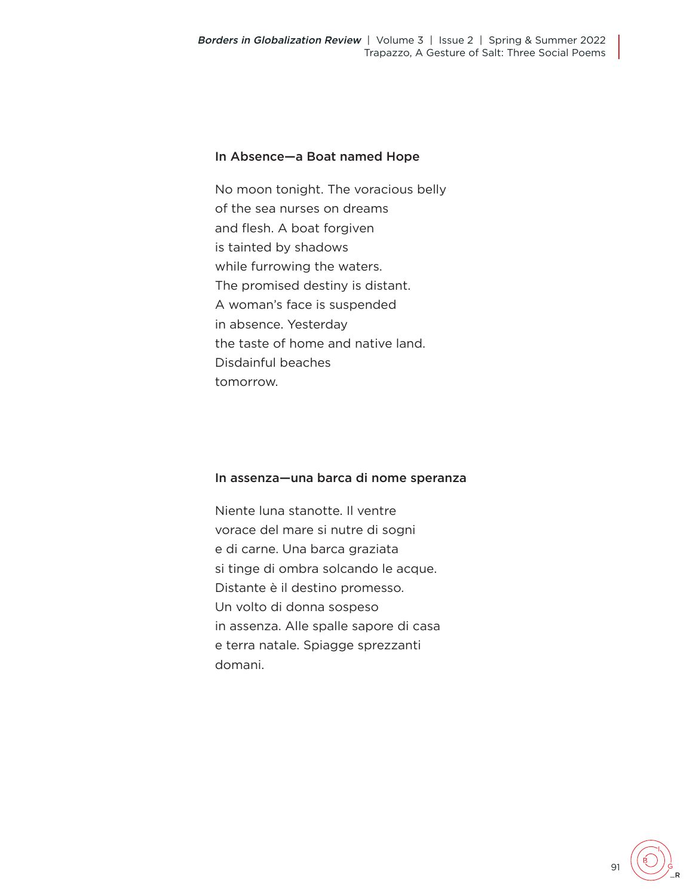## In Absence—a Boat named Hope

No moon tonight. The voracious belly of the sea nurses on dreams and flesh. A boat forgiven is tainted by shadows while furrowing the waters. The promised destiny is distant. A woman's face is suspended in absence. Yesterday the taste of home and native land. Disdainful beaches tomorrow.

#### In assenza—una barca di nome speranza

Niente luna stanotte. Il ventre vorace del mare si nutre di sogni e di carne. Una barca graziata si tinge di ombra solcando le acque. Distante è il destino promesso. Un volto di donna sospeso in assenza. Alle spalle sapore di casa e terra natale. Spiagge sprezzanti domani.

\_R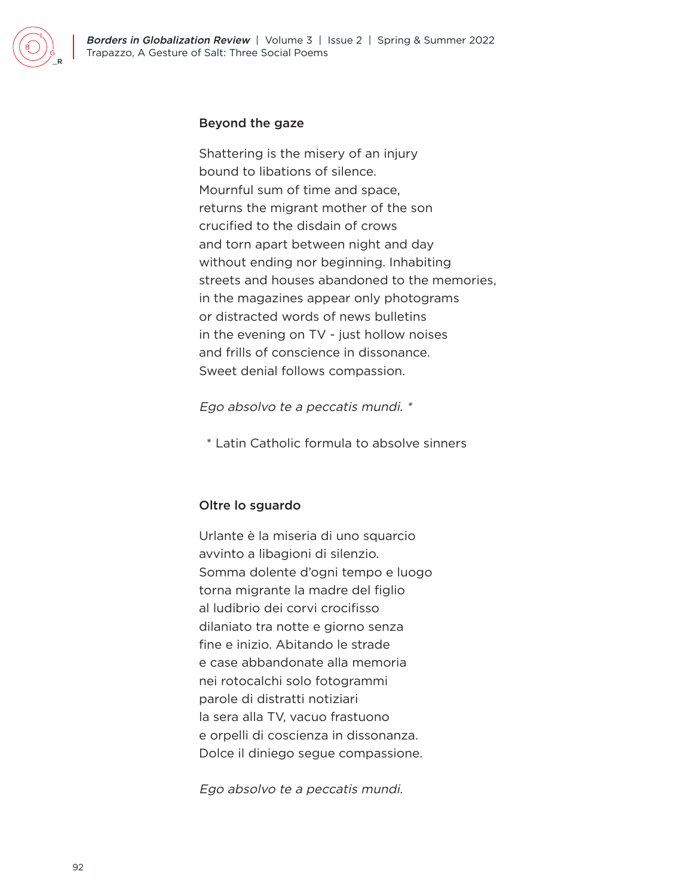#### Beyond the gaze

Shattering is the misery of an injury bound to libations of silence. Mournful sum of time and space, returns the migrant mother of the son crucified to the disdain of crows and torn apart between night and day without ending nor beginning. Inhabiting streets and houses abandoned to the memories, in the magazines appear only photograms or distracted words of news bulletins in the evening on TV - just hollow noises and frills of conscience in dissonance. Sweet denial follows compassion.

Ego absolvo te a peccatis mundi. \*

\* Latin Catholic formula to absolve sinners

## Oltre lo sguardo

Urlante è la miseria di uno squarcio avvinto a libagioni di silenzio. Somma dolente d'ogni tempo e luogo torna migrante la madre del figlio al ludibrio dei corvi crocifisso dilaniato tra notte e giorno senza fine e inizio. Abitando le strade e case abbandonate alla memoria nei rotocalchi solo fotogrammi parole di distratti notiziari la sera alla TV, vacuo frastuono e orpelli di coscienza in dissonanza. Dolce il diniego segue compassione.

Ego absolvo te a peccatis mundi.